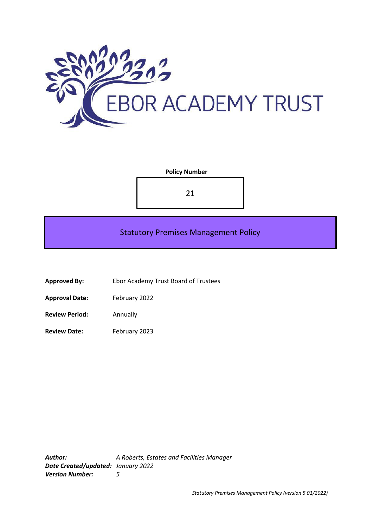

## **Policy Number**

21

# Statutory Premises Management Policy

- **Approved By:** Ebor Academy Trust Board of Trustees
- **Approval Date:** February 2022
- **Review Period:** Annually
- Review Date: February 2023

*Author: A Roberts, Estates and Facilities Manager Date Created/updated: January 2022 Version Number: 5*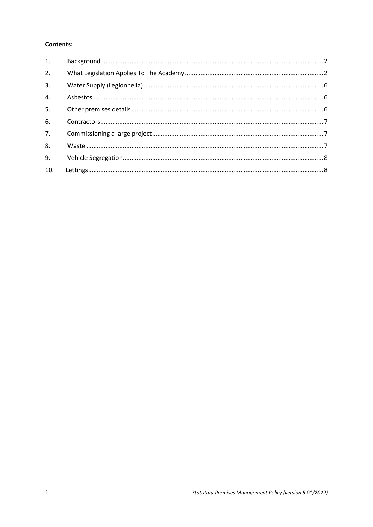## **Contents:**

| 1.               |  |
|------------------|--|
| 2.               |  |
| 3.               |  |
| 4.               |  |
| 5.               |  |
| 6.               |  |
| $\overline{7}$ . |  |
| 8.               |  |
| 9.               |  |
| 10.              |  |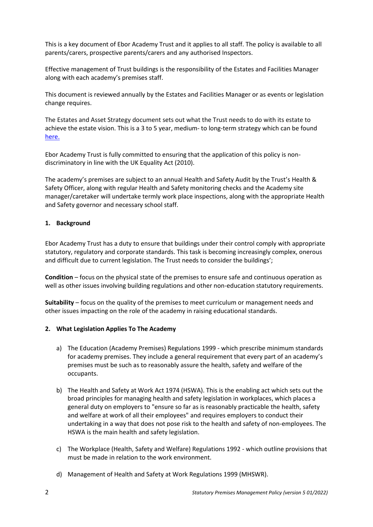This is a key document of Ebor Academy Trust and it applies to all staff. The policy is available to all parents/carers, prospective parents/carers and any authorised Inspectors.

Effective management of Trust buildings is the responsibility of the Estates and Facilities Manager along with each academy's premises staff.

This document is reviewed annually by the Estates and Facilities Manager or as events or legislation change requires.

The Estates and Asset Strategy document sets out what the Trust needs to do with its estate to achieve the estate vision. This is a 3 to 5 year, medium- to long-term strategy which can be found [here.](https://docs.google.com/document/d/1VKI2GilMOYjwPThJ9mMwCKK8s3o-C7u2-rwqUc2vSCU/edit?ts=5ff4c997)

Ebor Academy Trust is fully committed to ensuring that the application of this policy is nondiscriminatory in line with the UK Equality Act (2010).

The academy's premises are subject to an annual Health and Safety Audit by the Trust's Health & Safety Officer, along with regular Health and Safety monitoring checks and the Academy site manager/caretaker will undertake termly work place inspections, along with the appropriate Health and Safety governor and necessary school staff.

#### <span id="page-2-0"></span>**1. Background**

Ebor Academy Trust has a duty to ensure that buildings under their control comply with appropriate statutory, regulatory and corporate standards. This task is becoming increasingly complex, onerous and difficult due to current legislation. The Trust needs to consider the buildings';

**Condition** – focus on the physical state of the premises to ensure safe and continuous operation as well as other issues involving building regulations and other non-education statutory requirements.

**Suitability** – focus on the quality of the premises to meet curriculum or management needs and other issues impacting on the role of the academy in raising educational standards.

#### <span id="page-2-1"></span>**2. What Legislation Applies To The Academy**

- a) The Education (Academy Premises) Regulations 1999 which prescribe minimum standards for academy premises. They include a general requirement that every part of an academy's premises must be such as to reasonably assure the health, safety and welfare of the occupants.
- b) The Health and Safety at Work Act 1974 (HSWA). This is the enabling act which sets out the broad principles for managing health and safety legislation in workplaces, which places a general duty on employers to "ensure so far as is reasonably practicable the health, safety and welfare at work of all their employees" and requires employers to conduct their undertaking in a way that does not pose risk to the health and safety of non-employees. The HSWA is the main health and safety legislation.
- c) The Workplace (Health, Safety and Welfare) Regulations 1992 which outline provisions that must be made in relation to the work environment.
- d) Management of Health and Safety at Work Regulations 1999 (MHSWR).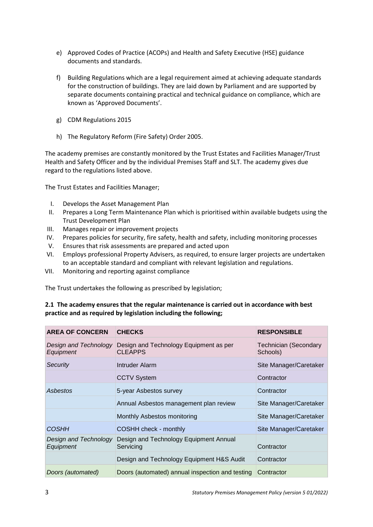- e) Approved Codes of Practice (ACOPs) and Health and Safety Executive (HSE) guidance documents and standards.
- f) Building Regulations which are a legal requirement aimed at achieving adequate standards for the construction of buildings. They are laid down by Parliament and are supported by separate documents containing practical and technical guidance on compliance, which are known as 'Approved Documents'.
- g) CDM Regulations 2015
- h) The Regulatory Reform (Fire Safety) Order 2005.

The academy premises are constantly monitored by the Trust Estates and Facilities Manager/Trust Health and Safety Officer and by the individual Premises Staff and SLT. The academy gives due regard to the regulations listed above.

The Trust Estates and Facilities Manager;

- I. Develops the Asset Management Plan
- II. Prepares a Long Term Maintenance Plan which is prioritised within available budgets using the Trust Development Plan
- III. Manages repair or improvement projects
- IV. Prepares policies for security, fire safety, health and safety, including monitoring processes
- V. Ensures that risk assessments are prepared and acted upon
- VI. Employs professional Property Advisers, as required, to ensure larger projects are undertaken to an acceptable standard and compliant with relevant legislation and regulations.
- VII. Monitoring and reporting against compliance

The Trust undertakes the following as prescribed by legislation;

## **2.1 The academy ensures that the regular maintenance is carried out in accordance with best practice and as required by legislation including the following;**

| <b>AREA OF CONCERN</b>                    | <b>CHECKS</b>                                            | <b>RESPONSIBLE</b>                |
|-------------------------------------------|----------------------------------------------------------|-----------------------------------|
| Design and Technology<br>Equipment        | Design and Technology Equipment as per<br><b>CLEAPPS</b> | Technician (Secondary<br>Schools) |
| Security                                  | Intruder Alarm                                           | Site Manager/Caretaker            |
|                                           | <b>CCTV System</b>                                       | Contractor                        |
| Asbestos                                  | 5-year Asbestos survey                                   | Contractor                        |
|                                           | Annual Asbestos management plan review                   | Site Manager/Caretaker            |
|                                           | Monthly Asbestos monitoring                              | Site Manager/Caretaker            |
| <i><b>COSHH</b></i>                       | COSHH check - monthly                                    | Site Manager/Caretaker            |
| Design and Technology<br><b>Equipment</b> | Design and Technology Equipment Annual<br>Servicing      | Contractor                        |
|                                           | Design and Technology Equipment H&S Audit                | Contractor                        |
| Doors (automated)                         | Doors (automated) annual inspection and testing          | Contractor                        |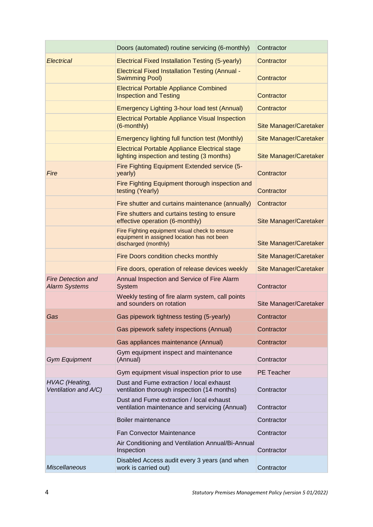|                                                   | Doors (automated) routine servicing (6-monthly)                                                                       | Contractor                    |
|---------------------------------------------------|-----------------------------------------------------------------------------------------------------------------------|-------------------------------|
| <b>Electrical</b>                                 | Electrical Fixed Installation Testing (5-yearly)                                                                      | Contractor                    |
|                                                   | <b>Electrical Fixed Installation Testing (Annual -</b><br><b>Swimming Pool)</b>                                       | Contractor                    |
|                                                   | <b>Electrical Portable Appliance Combined</b><br><b>Inspection and Testing</b>                                        | Contractor                    |
|                                                   | Emergency Lighting 3-hour load test (Annual)                                                                          | Contractor                    |
|                                                   | <b>Electrical Portable Appliance Visual Inspection</b><br>(6-monthly)                                                 | <b>Site Manager/Caretaker</b> |
|                                                   | Emergency lighting full function test (Monthly)                                                                       | <b>Site Manager/Caretaker</b> |
|                                                   | <b>Electrical Portable Appliance Electrical stage</b><br>lighting inspection and testing (3 months)                   | <b>Site Manager/Caretaker</b> |
| Fire                                              | Fire Fighting Equipment Extended service (5-<br>yearly)                                                               | Contractor                    |
|                                                   | Fire Fighting Equipment thorough inspection and<br>testing (Yearly)                                                   | Contractor                    |
|                                                   | Fire shutter and curtains maintenance (annually)                                                                      | Contractor                    |
|                                                   | Fire shutters and curtains testing to ensure<br>effective operation (6-monthly)                                       | Site Manager/Caretaker        |
|                                                   | Fire Fighting equipment visual check to ensure<br>equipment in assigned location has not been<br>discharged (monthly) | Site Manager/Caretaker        |
|                                                   | Fire Doors condition checks monthly                                                                                   | <b>Site Manager/Caretaker</b> |
|                                                   | Fire doors, operation of release devices weekly                                                                       | Site Manager/Caretaker        |
| <b>Fire Detection and</b><br><b>Alarm Systems</b> | Annual Inspection and Service of Fire Alarm<br>System                                                                 | Contractor                    |
|                                                   | Weekly testing of fire alarm system, call points<br>and sounders on rotation                                          | Site Manager/Caretaker        |
| Gas                                               | Gas pipework tightness testing (5-yearly)                                                                             | Contractor                    |
|                                                   | Gas pipework safety inspections (Annual)                                                                              | Contractor                    |
|                                                   | Gas appliances maintenance (Annual)                                                                                   | Contractor                    |
| <b>Gym Equipment</b>                              | Gym equipment inspect and maintenance<br>(Annual)                                                                     | Contractor                    |
|                                                   | Gym equipment visual inspection prior to use                                                                          | <b>PE</b> Teacher             |
| <b>HVAC</b> (Heating,<br>Ventilation and A/C)     | Dust and Fume extraction / local exhaust<br>ventilation thorough inspection (14 months)                               | Contractor                    |
|                                                   | Dust and Fume extraction / local exhaust<br>ventilation maintenance and servicing (Annual)                            | Contractor                    |
|                                                   | Boiler maintenance                                                                                                    | Contractor                    |
|                                                   | <b>Fan Convector Maintenance</b>                                                                                      | Contractor                    |
|                                                   | Air Conditioning and Ventilation Annual/Bi-Annual<br>Inspection                                                       | Contractor                    |
| <b>Miscellaneous</b>                              | Disabled Access audit every 3 years (and when<br>work is carried out)                                                 | Contractor                    |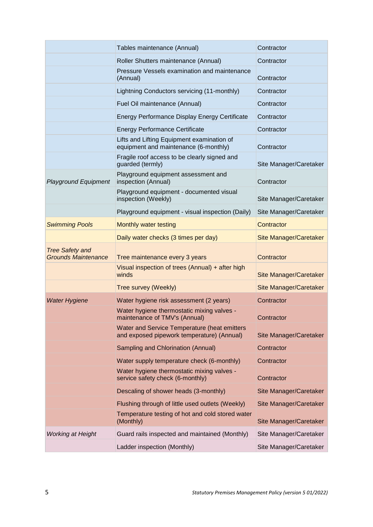|                                                      | Tables maintenance (Annual)                                                                | Contractor                    |
|------------------------------------------------------|--------------------------------------------------------------------------------------------|-------------------------------|
|                                                      | Roller Shutters maintenance (Annual)                                                       | Contractor                    |
|                                                      | Pressure Vessels examination and maintenance<br>(Annual)                                   | Contractor                    |
|                                                      | Lightning Conductors servicing (11-monthly)                                                | Contractor                    |
|                                                      | Fuel Oil maintenance (Annual)                                                              | Contractor                    |
|                                                      | Energy Performance Display Energy Certificate                                              | Contractor                    |
|                                                      | <b>Energy Performance Certificate</b>                                                      | Contractor                    |
|                                                      | Lifts and Lifting Equipment examination of<br>equipment and maintenance (6-monthly)        | Contractor                    |
|                                                      | Fragile roof access to be clearly signed and<br>guarded (termly)                           | Site Manager/Caretaker        |
| <b>Playground Equipment</b>                          | Playground equipment assessment and<br>inspection (Annual)                                 | Contractor                    |
|                                                      | Playground equipment - documented visual<br>inspection (Weekly)                            | Site Manager/Caretaker        |
|                                                      | Playground equipment - visual inspection (Daily)                                           | Site Manager/Caretaker        |
| <b>Swimming Pools</b>                                | Monthly water testing                                                                      | Contractor                    |
|                                                      | Daily water checks (3 times per day)                                                       | <b>Site Manager/Caretaker</b> |
| <b>Tree Safety and</b><br><b>Grounds Maintenance</b> | Tree maintenance every 3 years                                                             | Contractor                    |
|                                                      | Visual inspection of trees (Annual) + after high<br>winds                                  | Site Manager/Caretaker        |
|                                                      | Tree survey (Weekly)                                                                       | Site Manager/Caretaker        |
| <b>Water Hygiene</b>                                 | Water hygiene risk assessment (2 years)                                                    | Contractor                    |
|                                                      | Water hygiene thermostatic mixing valves -<br>maintenance of TMV's (Annual)                | Contractor                    |
|                                                      | Water and Service Temperature (heat emitters<br>and exposed pipework temperature) (Annual) | Site Manager/Caretaker        |
|                                                      | Sampling and Chlorination (Annual)                                                         | Contractor                    |
|                                                      | Water supply temperature check (6-monthly)                                                 | Contractor                    |
|                                                      | Water hygiene thermostatic mixing valves -<br>service safety check (6-monthly)             | Contractor                    |
|                                                      | Descaling of shower heads (3-monthly)                                                      | Site Manager/Caretaker        |
|                                                      | Flushing through of little used outlets (Weekly)                                           | Site Manager/Caretaker        |
|                                                      | Temperature testing of hot and cold stored water<br>(Monthly)                              | Site Manager/Caretaker        |
| <b>Working at Height</b>                             | Guard rails inspected and maintained (Monthly)                                             | Site Manager/Caretaker        |
|                                                      | Ladder inspection (Monthly)                                                                | Site Manager/Caretaker        |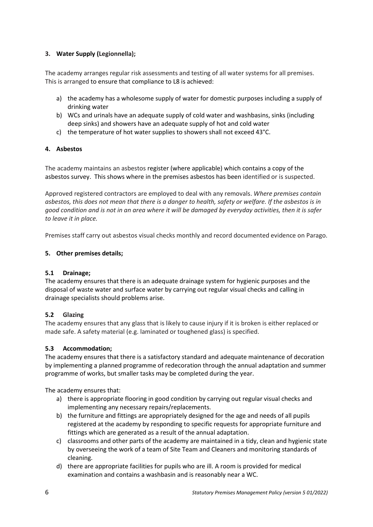## <span id="page-6-0"></span>**3. Water Supply (Legionnella);**

The academy arranges regular risk assessments and testing of all water systems for all premises. This is arranged to ensure that compliance to L8 is achieved:

- a) the academy has a wholesome supply of water for domestic purposes including a supply of drinking water
- b) WCs and urinals have an adequate supply of cold water and washbasins, sinks (including deep sinks) and showers have an adequate supply of hot and cold water
- c) the temperature of hot water supplies to showers shall not exceed 43°C.

## <span id="page-6-1"></span>**4. Asbestos**

The academy maintains an asbestos register (where applicable) which contains a copy of the asbestos survey. This shows where in the premises asbestos has been identified or is suspected.

Approved registered contractors are employed to deal with any removals. *Where premises contain asbestos, this does not mean that there is a danger to health, safety or welfare. If the asbestos is in good condition and is not in an area where it will be damaged by everyday activities, then it is safer to leave it in place.*

Premises staff carry out asbestos visual checks monthly and record documented evidence on Parago.

## <span id="page-6-2"></span>**5. Other premises details;**

## **5.1 Drainage;**

The academy ensures that there is an adequate drainage system for hygienic purposes and the disposal of waste water and surface water by carrying out regular visual checks and calling in drainage specialists should problems arise.

## **5.2 Glazing**

The academy ensures that any glass that is likely to cause injury if it is broken is either replaced or made safe. A safety material (e.g. laminated or toughened glass) is specified.

## **5.3 Accommodation;**

The academy ensures that there is a satisfactory standard and adequate maintenance of decoration by implementing a planned programme of redecoration through the annual adaptation and summer programme of works, but smaller tasks may be completed during the year.

The academy ensures that:

- a) there is appropriate flooring in good condition by carrying out regular visual checks and implementing any necessary repairs/replacements.
- b) the furniture and fittings are appropriately designed for the age and needs of all pupils registered at the academy by responding to specific requests for appropriate furniture and fittings which are generated as a result of the annual adaptation.
- c) classrooms and other parts of the academy are maintained in a tidy, clean and hygienic state by overseeing the work of a team of Site Team and Cleaners and monitoring standards of cleaning.
- d) there are appropriate facilities for pupils who are ill. A room is provided for medical examination and contains a washbasin and is reasonably near a WC.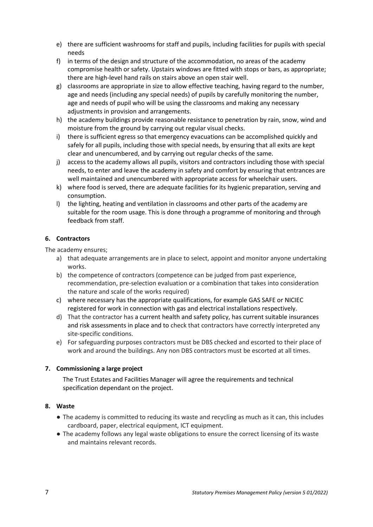- e) there are sufficient washrooms for staff and pupils, including facilities for pupils with special needs
- f) in terms of the design and structure of the accommodation, no areas of the academy compromise health or safety. Upstairs windows are fitted with stops or bars, as appropriate; there are high-level hand rails on stairs above an open stair well.
- g) classrooms are appropriate in size to allow effective teaching, having regard to the number, age and needs (including any special needs) of pupils by carefully monitoring the number, age and needs of pupil who will be using the classrooms and making any necessary adjustments in provision and arrangements.
- h) the academy buildings provide reasonable resistance to penetration by rain, snow, wind and moisture from the ground by carrying out regular visual checks.
- i) there is sufficient egress so that emergency evacuations can be accomplished quickly and safely for all pupils, including those with special needs, by ensuring that all exits are kept clear and unencumbered, and by carrying out regular checks of the same.
- j) access to the academy allows all pupils, visitors and contractors including those with special needs, to enter and leave the academy in safety and comfort by ensuring that entrances are well maintained and unencumbered with appropriate access for wheelchair users.
- k) where food is served, there are adequate facilities for its hygienic preparation, serving and consumption.
- l) the lighting, heating and ventilation in classrooms and other parts of the academy are suitable for the room usage. This is done through a programme of monitoring and through feedback from staff.

## <span id="page-7-0"></span>**6. Contractors**

The academy ensures;

- a) that adequate arrangements are in place to select, appoint and monitor anyone undertaking works.
- b) the competence of contractors (competence can be judged from past experience, recommendation, pre-selection evaluation or a combination that takes into consideration the nature and scale of the works required)
- c) where necessary has the appropriate qualifications, for example GAS SAFE or NICIEC registered for work in connection with gas and electrical installations respectively.
- d) That the contractor has a current health and safety policy, has current suitable insurances and risk assessments in place and to check that contractors have correctly interpreted any site-specific conditions.
- e) For safeguarding purposes contractors must be DBS checked and escorted to their place of work and around the buildings. Any non DBS contractors must be escorted at all times.

## <span id="page-7-1"></span>**7. Commissioning a large project**

The Trust Estates and Facilities Manager will agree the requirements and technical specification dependant on the project.

#### <span id="page-7-2"></span>**8. Waste**

- The academy is committed to reducing its waste and recycling as much as it can, this includes cardboard, paper, electrical equipment, ICT equipment.
- The academy follows any legal waste obligations to ensure the correct licensing of its waste and maintains relevant records.